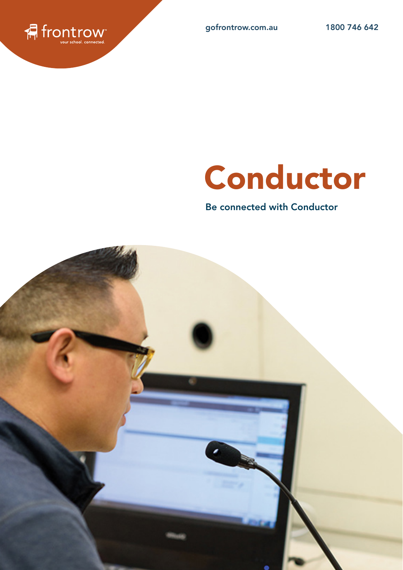

gofrontrow.com.au 1800 746 642

# Conductor

## Be connected with Conductor